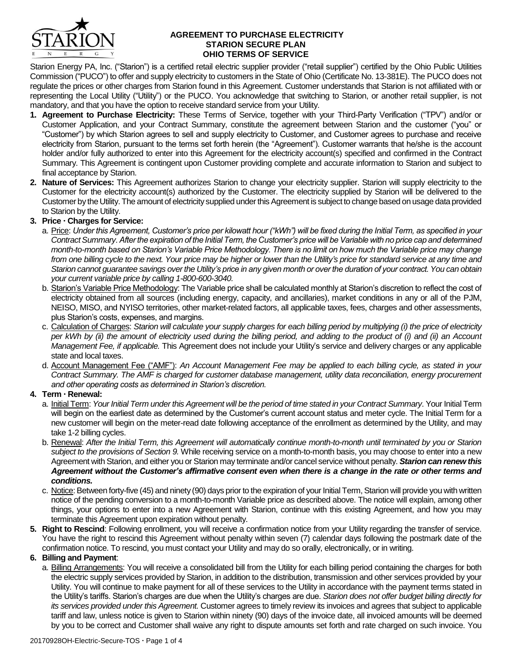

### **AGREEMENT TO PURCHASE ELECTRICITY STARION SECURE PLAN OHIO TERMS OF SERVICE**

Starion Energy PA, Inc. ("Starion") is a certified retail electric supplier provider ("retail supplier") certified by the Ohio Public Utilities Commission ("PUCO") to offer and supply electricity to customers in the State of Ohio (Certificate No. 13-381E). The PUCO does not regulate the prices or other charges from Starion found in this Agreement. Customer understands that Starion is not affiliated with or representing the Local Utility ("Utility") or the PUCO. You acknowledge that switching to Starion, or another retail supplier, is not mandatory, and that you have the option to receive standard service from your Utility.

- **1. Agreement to Purchase Electricity:** These Terms of Service, together with your Third-Party Verification ("TPV") and/or or Customer Application, and your Contract Summary, constitute the agreement between Starion and the customer ("you" or "Customer") by which Starion agrees to sell and supply electricity to Customer, and Customer agrees to purchase and receive electricity from Starion, pursuant to the terms set forth herein (the "Agreement"). Customer warrants that he/she is the account holder and/or fully authorized to enter into this Agreement for the electricity account(s) specified and confirmed in the Contract Summary. This Agreement is contingent upon Customer providing complete and accurate information to Starion and subject to final acceptance by Starion.
- **2. Nature of Services:** This Agreement authorizes Starion to change your electricity supplier. Starion will supply electricity to the Customer for the electricity account(s) authorized by the Customer. The electricity supplied by Starion will be delivered to the Customer by the Utility. The amount of electricity supplied under this Agreement is subject to change based on usage data provided to Starion by the Utility.

# **3. Price Charges for Service:**

- a. Price: *Under this Agreement, Customer's price per kilowatt hour ("kWh") will be fixed during the Initial Term, as specified in your Contract Summary. After the expiration of the Initial Term, the Customer's price will be Variable with no price cap and determined month-to-month based on Starion's Variable Price Methodology. There is no limit on how much the Variable price may change from one billing cycle to the next. Your price may be higher or lower than the Utility's price for standard service at any time and Starion cannot guarantee savings over the Utility's price in any given month or over the duration of your contract. You can obtain your current variable price by calling 1-800-600-3040.*
- b. Starion's Variable Price Methodology: The Variable price shall be calculated monthly at Starion's discretion to reflect the cost of electricity obtained from all sources (including energy, capacity, and ancillaries), market conditions in any or all of the PJM, NEISO, MISO, and NYISO territories, other market-related factors, all applicable taxes, fees, charges and other assessments, plus Starion's costs, expenses, and margins.
- c. Calculation of Charges: *Starion will calculate your supply charges for each billing period by multiplying (i) the price of electricity per kWh by (ii) the amount of electricity used during the billing period, and adding to the product of (i) and (ii) an Account Management Fee, if applicable.* This Agreement does not include your Utility's service and delivery charges or any applicable state and local taxes.
- d. Account Management Fee ("AMF"): *An Account Management Fee may be applied to each billing cycle, as stated in your Contract Summary. The AMF is charged for customer database management, utility data reconciliation, energy procurement and other operating costs as determined in Starion's discretion.*

# **4. Term Renewal:**

- a. Initial Term: *Your Initial Term under this Agreement will be the period of time stated in your Contract Summary*. Your Initial Term will begin on the earliest date as determined by the Customer's current account status and meter cycle. The Initial Term for a new customer will begin on the meter-read date following acceptance of the enrollment as determined by the Utility, and may take 1-2 billing cycles.
- b. Renewal: *After the Initial Term, this Agreement will automatically continue month-to-month until terminated by you or Starion subject to the provisions of Section 9.* While receiving service on a month-to-month basis, you may choose to enter into a new Agreement with Starion, and either you or Starion may terminate and/or cancel service without penalty. *Starion can renew this Agreement without the Customer's affirmative consent even when there is a change in the rate or other terms and conditions.*
- c. Notice: Between forty-five (45) and ninety (90) days prior to the expiration of your Initial Term, Starion will provide you with written notice of the pending conversion to a month-to-month Variable price as described above. The notice will explain, among other things, your options to enter into a new Agreement with Starion, continue with this existing Agreement, and how you may terminate this Agreement upon expiration without penalty.
- **5. Right to Rescind**: Following enrollment, you will receive a confirmation notice from your Utility regarding the transfer of service. You have the right to rescind this Agreement without penalty within seven (7) calendar days following the postmark date of the confirmation notice. To rescind, you must contact your Utility and may do so orally, electronically, or in writing.

## **6. Billing and Payment**:

a. Billing Arrangements: You will receive a consolidated bill from the Utility for each billing period containing the charges for both the electric supply services provided by Starion, in addition to the distribution, transmission and other services provided by your Utility. You will continue to make payment for all of these services to the Utility in accordance with the payment terms stated in the Utility's tariffs. Starion's charges are due when the Utility's charges are due. *Starion does not offer budget billing directly for its services provided under this Agreement.* Customer agrees to timely review its invoices and agrees that subject to applicable tariff and law, unless notice is given to Starion within ninety (90) days of the invoice date, all invoiced amounts will be deemed by you to be correct and Customer shall waive any right to dispute amounts set forth and rate charged on such invoice. You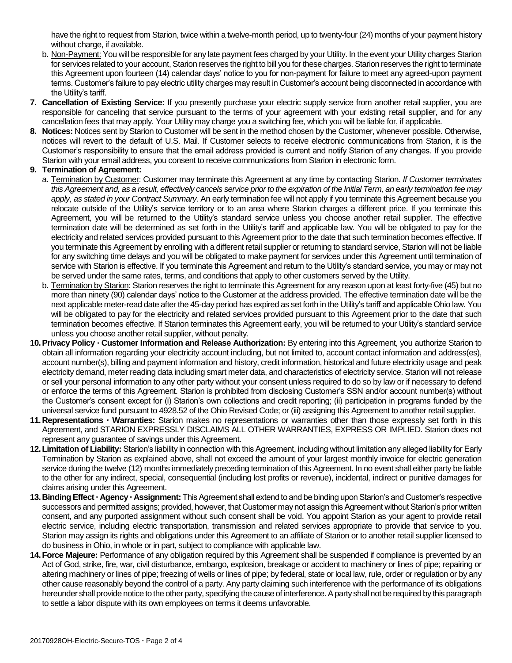have the right to request from Starion, twice within a twelve-month period, up to twenty-four (24) months of your payment history without charge, if available.

- b. Non-Payment: You will be responsible for any late payment fees charged by your Utility. In the event your Utility charges Starion for services related to your account, Starion reserves the right to bill you for these charges. Starion reserves the right to terminate this Agreement upon fourteen (14) calendar days' notice to you for non-payment for failure to meet any agreed-upon payment terms. Customer's failure to pay electric utility charges may result in Customer's account being disconnected in accordance with the Utility's tariff.
- **7. Cancellation of Existing Service:** If you presently purchase your electric supply service from another retail supplier, you are responsible for canceling that service pursuant to the terms of your agreement with your existing retail supplier, and for any cancellation fees that may apply. Your Utility may charge you a switching fee, which you will be liable for, if applicable.
- **8. Notices:** Notices sent by Starion to Customer will be sent in the method chosen by the Customer, whenever possible. Otherwise, notices will revert to the default of U.S. Mail. If Customer selects to receive electronic communications from Starion, it is the Customer's responsibility to ensure that the email address provided is current and notify Starion of any changes. If you provide Starion with your email address, you consent to receive communications from Starion in electronic form.

### **9. Termination of Agreement:**

- a. Termination by Customer: Customer may terminate this Agreement at any time by contacting Starion. *If Customer terminates this Agreement and, as a result, effectively cancels service prior to the expiration of the Initial Term, an early termination fee may apply, as stated in your Contract Summary.* An early termination fee will not apply if you terminate this Agreement because you relocate outside of the Utility's service territory or to an area where Starion charges a different price. If you terminate this Agreement, you will be returned to the Utility's standard service unless you choose another retail supplier. The effective termination date will be determined as set forth in the Utility's tariff and applicable law. You will be obligated to pay for the electricity and related services provided pursuant to this Agreement prior to the date that such termination becomes effective. If you terminate this Agreement by enrolling with a different retail supplier or returning to standard service, Starion will not be liable for any switching time delays and you will be obligated to make payment for services under this Agreement until termination of service with Starion is effective. If you terminate this Agreement and return to the Utility's standard service, you may or may not be served under the same rates, terms, and conditions that apply to other customers served by the Utility.
- b. Termination by Starion: Starion reserves the right to terminate this Agreement for any reason upon at least forty-five (45) but no more than ninety (90) calendar days' notice to the Customer at the address provided. The effective termination date will be the next applicable meter-read date after the 45-day period has expired as set forth in the Utility's tariff and applicable Ohio law. You will be obligated to pay for the electricity and related services provided pursuant to this Agreement prior to the date that such termination becomes effective. If Starion terminates this Agreement early, you will be returned to your Utility's standard service unless you choose another retail supplier, without penalty.
- **10.Privacy Policy Customer Information and Release Authorization:** By entering into this Agreement, you authorize Starion to obtain all information regarding your electricity account including, but not limited to, account contact information and address(es), account number(s), billing and payment information and history, credit information, historical and future electricity usage and peak electricity demand, meter reading data including smart meter data, and characteristics of electricity service. Starion will not release or sell your personal information to any other party without your consent unless required to do so by law or if necessary to defend or enforce the terms of this Agreement. Starion is prohibited from disclosing Customer's SSN and/or account number(s) without the Customer's consent except for (i) Starion's own collections and credit reporting; (ii) participation in programs funded by the universal service fund pursuant to 4928.52 of the Ohio Revised Code; or (iii) assigning this Agreement to another retail supplier.
- 11. Representations **· Warranties:** Starion makes no representations or warranties other than those expressly set forth in this Agreement, and STARION EXPRESSLY DISCLAIMS ALL OTHER WARRANTIES, EXPRESS OR IMPLIED. Starion does not represent any guarantee of savings under this Agreement.
- **12.Limitation of Liability:** Starion's liability in connection with this Agreement, including without limitation any alleged liability for Early Termination by Starion as explained above, shall not exceed the amount of your largest monthly invoice for electric generation service during the twelve (12) months immediately preceding termination of this Agreement. In no event shall either party be liable to the other for any indirect, special, consequential (including lost profits or revenue), incidental, indirect or punitive damages for claims arising under this Agreement.
- **13.Binding Effect Agency Assignment:** This Agreement shall extend to and be binding upon Starion's and Customer's respective successors and permitted assigns; provided, however, that Customer may not assign this Agreement without Starion's prior written consent, and any purported assignment without such consent shall be void. You appoint Starion as your agent to provide retail electric service, including electric transportation, transmission and related services appropriate to provide that service to you. Starion may assign its rights and obligations under this Agreement to an affiliate of Starion or to another retail supplier licensed to do business in Ohio, in whole or in part, subject to compliance with applicable law.
- **14.Force Majeure:** Performance of any obligation required by this Agreement shall be suspended if compliance is prevented by an Act of God, strike, fire, war, civil disturbance, embargo, explosion, breakage or accident to machinery or lines of pipe; repairing or altering machinery or lines of pipe; freezing of wells or lines of pipe; by federal, state or local law, rule, order or regulation or by any other cause reasonably beyond the control of a party. Any party claiming such interference with the performance of its obligations hereunder shall provide notice to the other party, specifying the cause of interference. A party shall not be required by this paragraph to settle a labor dispute with its own employees on terms it deems unfavorable.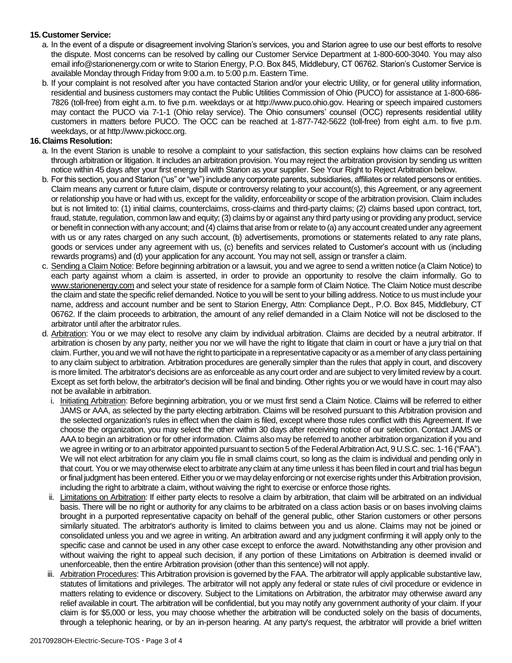## **15.Customer Service:**

- a. In the event of a dispute or disagreement involving Starion's services, you and Starion agree to use our best efforts to resolve the dispute. Most concerns can be resolved by calling our Customer Service Department at 1-800-600-3040. You may also email info@starionenergy.com or write to Starion Energy, P.O. Box 845, Middlebury, CT 06762. Starion's Customer Service is available Monday through Friday from 9:00 a.m. to 5:00 p.m. Eastern Time.
- b. If your complaint is not resolved after you have contacted Starion and/or your electric Utility, or for general utility information, residential and business customers may contact the Public Utilities Commission of Ohio (PUCO) for assistance at 1-800-686- 7826 (toll-free) from eight a.m. to five p.m. weekdays or at http://www.puco.ohio.gov. Hearing or speech impaired customers may contact the PUCO via 7-1-1 (Ohio relay service). The Ohio consumers' counsel (OCC) represents residential utility customers in matters before PUCO. The OCC can be reached at 1-877-742-5622 (toll-free) from eight a.m. to five p.m. weekdays, or at http://www.pickocc.org.

## **16.Claims Resolution:**

- a. In the event Starion is unable to resolve a complaint to your satisfaction, this section explains how claims can be resolved through arbitration or litigation. It includes an arbitration provision. You may reject the arbitration provision by sending us written notice within 45 days after your first energy bill with Starion as your supplier. See Your Right to Reject Arbitration below.
- b. For this section, you and Starion ("us" or "we") include any corporate parents, subsidiaries, affiliates or related persons or entities. Claim means any current or future claim, dispute or controversy relating to your account(s), this Agreement, or any agreement or relationship you have or had with us, except for the validity, enforceability or scope of the arbitration provision. Claim includes but is not limited to: (1) initial claims, counterclaims, cross-claims and third-party claims; (2) claims based upon contract, tort, fraud, statute, regulation, common law and equity; (3) claims by or against any third party using or providing any product, service or benefit in connection with any account; and (4) claims that arise from or relate to (a) any account created under any agreement with us or any rates charged on any such account, (b) advertisements, promotions or statements related to any rate plans, goods or services under any agreement with us, (c) benefits and services related to Customer's account with us (including rewards programs) and (d) your application for any account. You may not sell, assign or transfer a claim.
- c. Sending a Claim Notice: Before beginning arbitration or a lawsuit, you and we agree to send a written notice (a Claim Notice) to each party against whom a claim is asserted, in order to provide an opportunity to resolve the claim informally. Go to www.starionenergy.com and select your state of residence for a sample form of Claim Notice. The Claim Notice must describe the claim and state the specific relief demanded. Notice to you will be sent to your billing address. Notice to us must include your name, address and account number and be sent to Starion Energy, Attn: Compliance Dept., P.O. Box 845, Middlebury, CT 06762. If the claim proceeds to arbitration, the amount of any relief demanded in a Claim Notice will not be disclosed to the arbitrator until after the arbitrator rules.
- d. Arbitration: You or we may elect to resolve any claim by individual arbitration. Claims are decided by a neutral arbitrator. If arbitration is chosen by any party, neither you nor we will have the right to litigate that claim in court or have a jury trial on that claim. Further, you and we will not have the right to participate in a representative capacity or as a member of any class pertaining to any claim subject to arbitration. Arbitration procedures are generally simpler than the rules that apply in court, and discovery is more limited. The arbitrator's decisions are as enforceable as any court order and are subject to very limited review by a court. Except as set forth below, the arbitrator's decision will be final and binding. Other rights you or we would have in court may also not be available in arbitration.
	- i. Initiating Arbitration: Before beginning arbitration, you or we must first send a Claim Notice. Claims will be referred to either JAMS or AAA, as selected by the party electing arbitration. Claims will be resolved pursuant to this Arbitration provision and the selected organization's rules in effect when the claim is filed, except where those rules conflict with this Agreement. If we choose the organization, you may select the other within 30 days after receiving notice of our selection. Contact JAMS or AAA to begin an arbitration or for other information. Claims also may be referred to another arbitration organization if you and we agree in writing or to an arbitrator appointed pursuant to section 5 of the Federal Arbitration Act, 9 U.S.C. sec. 1-16 ("FAA"). We will not elect arbitration for any claim you file in small claims court, so long as the claim is individual and pending only in that court. You or we may otherwise elect to arbitrate any claim at any time unless it has been filed in court and trial has begun or final judgment has been entered. Either you or we may delay enforcing or not exercise rights under this Arbitration provision, including the right to arbitrate a claim, without waiving the right to exercise or enforce those rights.
	- ii. Limitations on Arbitration: If either party elects to resolve a claim by arbitration, that claim will be arbitrated on an individual basis. There will be no right or authority for any claims to be arbitrated on a class action basis or on bases involving claims brought in a purported representative capacity on behalf of the general public, other Starion customers or other persons similarly situated. The arbitrator's authority is limited to claims between you and us alone. Claims may not be joined or consolidated unless you and we agree in writing. An arbitration award and any judgment confirming it will apply only to the specific case and cannot be used in any other case except to enforce the award. Notwithstanding any other provision and without waiving the right to appeal such decision, if any portion of these Limitations on Arbitration is deemed invalid or unenforceable, then the entire Arbitration provision (other than this sentence) will not apply.
	- iii. Arbitration Procedures: This Arbitration provision is governed by the FAA. The arbitrator will apply applicable substantive law, statutes of limitations and privileges. The arbitrator will not apply any federal or state rules of civil procedure or evidence in matters relating to evidence or discovery. Subject to the Limitations on Arbitration, the arbitrator may otherwise award any relief available in court. The arbitration will be confidential, but you may notify any government authority of your claim. If your claim is for \$5,000 or less, you may choose whether the arbitration will be conducted solely on the basis of documents, through a telephonic hearing, or by an in-person hearing. At any party's request, the arbitrator will provide a brief written